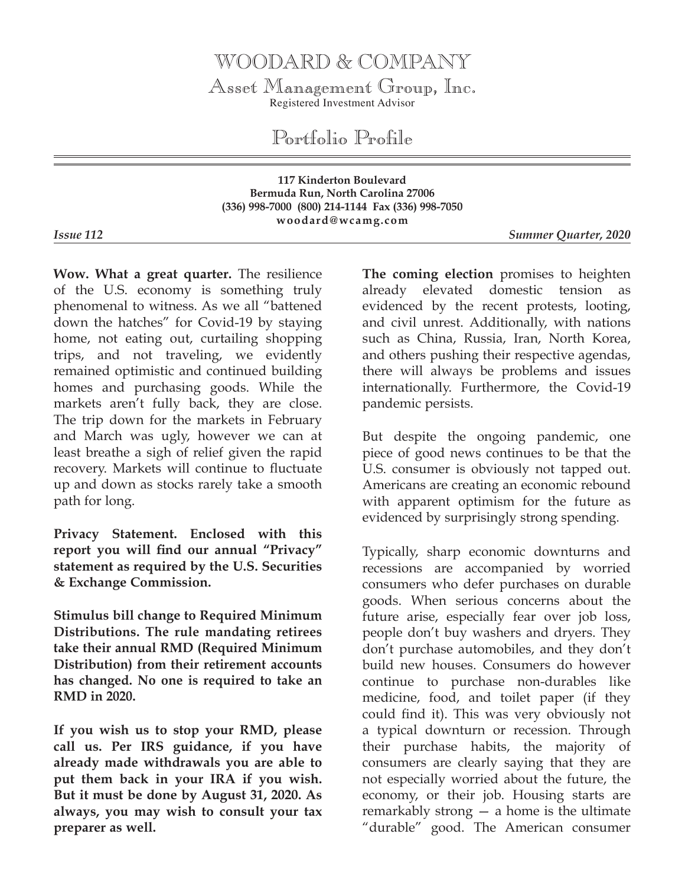## WOODARD & COMPANY

Asset Management Group, Inc. Registered Investment Advisor

Portfolio Profile

**117 Kinderton Boulevard Bermuda Run, North Carolina 27006 (336) 998-7000 (800) 214-1144 Fax (336) 998-7050 woodard@wcamg.com**

*Issue 112 Summer Quarter, 2020*

**Wow. What a great quarter.** The resilience of the U.S. economy is something truly phenomenal to witness. As we all "battened down the hatches" for Covid-19 by staying home, not eating out, curtailing shopping trips, and not traveling, we evidently remained optimistic and continued building homes and purchasing goods. While the markets aren't fully back, they are close. The trip down for the markets in February and March was ugly, however we can at least breathe a sigh of relief given the rapid recovery. Markets will continue to fluctuate up and down as stocks rarely take a smooth path for long.

**Privacy Statement. Enclosed with this report you will find our annual "Privacy" statement as required by the U.S. Securities & Exchange Commission.**

**Stimulus bill change to Required Minimum Distributions. The rule mandating retirees take their annual RMD (Required Minimum Distribution) from their retirement accounts has changed. No one is required to take an RMD in 2020.** 

**If you wish us to stop your RMD, please call us. Per IRS guidance, if you have already made withdrawals you are able to put them back in your IRA if you wish. But it must be done by August 31, 2020. As always, you may wish to consult your tax preparer as well.**

**The coming election** promises to heighten already elevated domestic tension as evidenced by the recent protests, looting, and civil unrest. Additionally, with nations such as China, Russia, Iran, North Korea, and others pushing their respective agendas, there will always be problems and issues internationally. Furthermore, the Covid-19 pandemic persists.

But despite the ongoing pandemic, one piece of good news continues to be that the U.S. consumer is obviously not tapped out. Americans are creating an economic rebound with apparent optimism for the future as evidenced by surprisingly strong spending.

Typically, sharp economic downturns and recessions are accompanied by worried consumers who defer purchases on durable goods. When serious concerns about the future arise, especially fear over job loss, people don't buy washers and dryers. They don't purchase automobiles, and they don't build new houses. Consumers do however continue to purchase non-durables like medicine, food, and toilet paper (if they could find it). This was very obviously not a typical downturn or recession. Through their purchase habits, the majority of consumers are clearly saying that they are not especially worried about the future, the economy, or their job. Housing starts are remarkably strong — a home is the ultimate "durable" good. The American consumer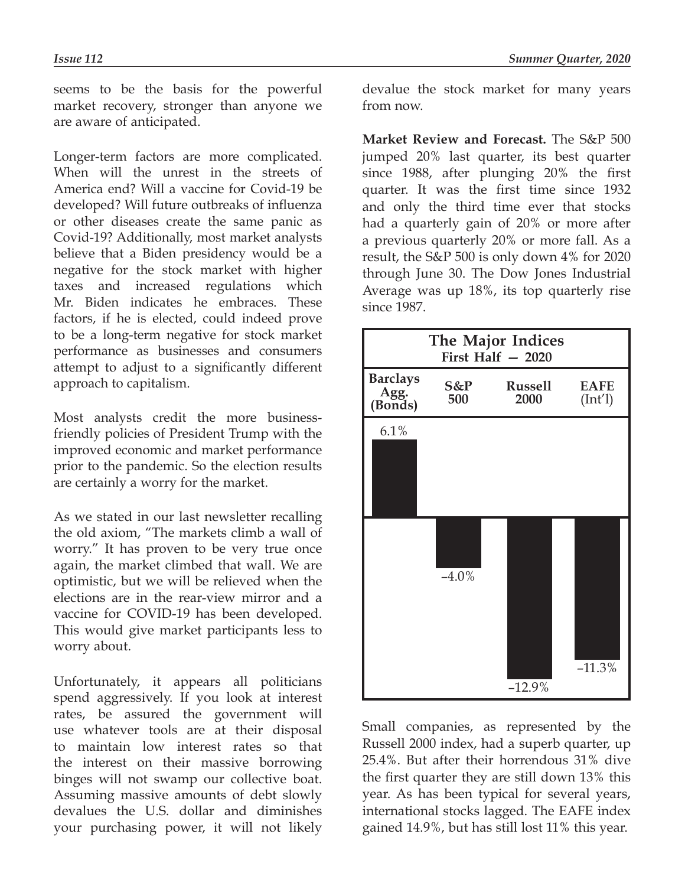seems to be the basis for the powerful market recovery, stronger than anyone we are aware of anticipated.

Longer-term factors are more complicated. When will the unrest in the streets of America end? Will a vaccine for Covid-19 be developed? Will future outbreaks of influenza or other diseases create the same panic as Covid-19? Additionally, most market analysts believe that a Biden presidency would be a negative for the stock market with higher taxes and increased regulations which Mr. Biden indicates he embraces. These factors, if he is elected, could indeed prove to be a long-term negative for stock market performance as businesses and consumers attempt to adjust to a significantly different approach to capitalism.

Most analysts credit the more businessfriendly policies of President Trump with the improved economic and market performance prior to the pandemic. So the election results are certainly a worry for the market.

As we stated in our last newsletter recalling the old axiom, "The markets climb a wall of worry." It has proven to be very true once again, the market climbed that wall. We are optimistic, but we will be relieved when the elections are in the rear-view mirror and a vaccine for COVID-19 has been developed. This would give market participants less to worry about.

Unfortunately, it appears all politicians spend aggressively. If you look at interest rates, be assured the government will use whatever tools are at their disposal to maintain low interest rates so that the interest on their massive borrowing binges will not swamp our collective boat. Assuming massive amounts of debt slowly devalues the U.S. dollar and diminishes your purchasing power, it will not likely

devalue the stock market for many years from now.

**Market Review and Forecast.** The S&P 500 jumped 20% last quarter, its best quarter since 1988, after plunging 20% the first quarter. It was the first time since 1932 and only the third time ever that stocks had a quarterly gain of 20% or more after a previous quarterly 20% or more fall. As a result, the S&P 500 is only down 4% for 2020 through June 30. The Dow Jones Industrial Average was up 18%, its top quarterly rise since 1987.



Small companies, as represented by the Russell 2000 index, had a superb quarter, up 25.4%. But after their horrendous 31% dive the first quarter they are still down 13% this year. As has been typical for several years, international stocks lagged. The EAFE index gained 14.9%, but has still lost 11% this year.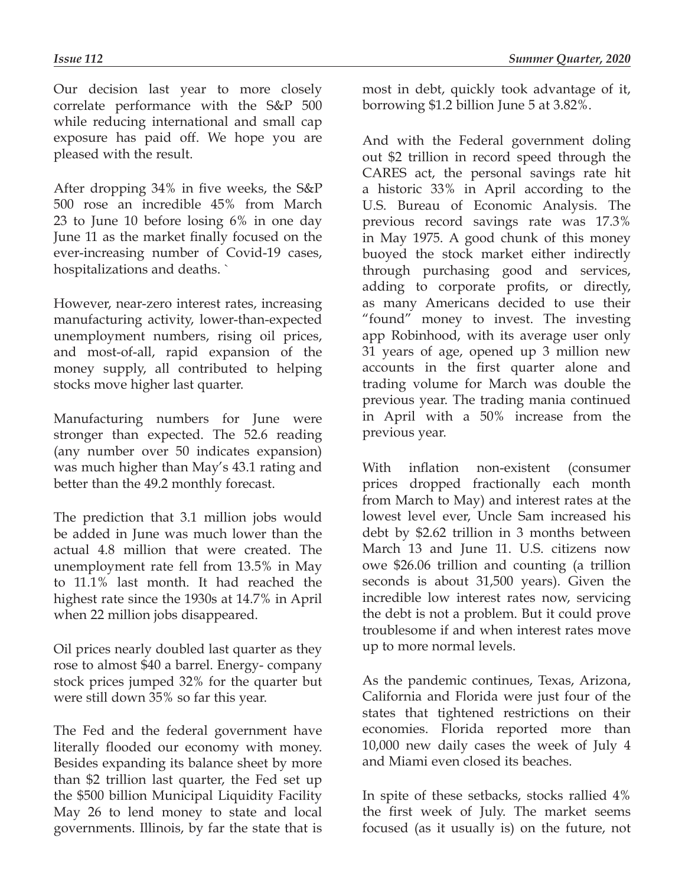Our decision last year to more closely correlate performance with the S&P 500 while reducing international and small cap exposure has paid off. We hope you are pleased with the result.

After dropping 34% in five weeks, the S&P 500 rose an incredible 45% from March 23 to June 10 before losing 6% in one day June 11 as the market finally focused on the ever-increasing number of Covid-19 cases, hospitalizations and deaths. `

However, near-zero interest rates, increasing manufacturing activity, lower-than-expected unemployment numbers, rising oil prices, and most-of-all, rapid expansion of the money supply, all contributed to helping stocks move higher last quarter.

Manufacturing numbers for June were stronger than expected. The 52.6 reading (any number over 50 indicates expansion) was much higher than May's 43.1 rating and better than the 49.2 monthly forecast.

The prediction that 3.1 million jobs would be added in June was much lower than the actual 4.8 million that were created. The unemployment rate fell from 13.5% in May to 11.1% last month. It had reached the highest rate since the 1930s at 14.7% in April when 22 million jobs disappeared.

Oil prices nearly doubled last quarter as they rose to almost \$40 a barrel. Energy- company stock prices jumped 32% for the quarter but were still down 35% so far this year.

The Fed and the federal government have literally flooded our economy with money. Besides expanding its balance sheet by more than \$2 trillion last quarter, the Fed set up the \$500 billion Municipal Liquidity Facility May 26 to lend money to state and local governments. Illinois, by far the state that is most in debt, quickly took advantage of it, borrowing \$1.2 billion June 5 at 3.82%.

And with the Federal government doling out \$2 trillion in record speed through the CARES act, the personal savings rate hit a historic 33% in April according to the U.S. Bureau of Economic Analysis. The previous record savings rate was 17.3% in May 1975. A good chunk of this money buoyed the stock market either indirectly through purchasing good and services, adding to corporate profits, or directly, as many Americans decided to use their "found" money to invest. The investing app Robinhood, with its average user only 31 years of age, opened up 3 million new accounts in the first quarter alone and trading volume for March was double the previous year. The trading mania continued in April with a 50% increase from the previous year.

With inflation non-existent (consumer prices dropped fractionally each month from March to May) and interest rates at the lowest level ever, Uncle Sam increased his debt by \$2.62 trillion in 3 months between March 13 and June 11. U.S. citizens now owe \$26.06 trillion and counting (a trillion seconds is about 31,500 years). Given the incredible low interest rates now, servicing the debt is not a problem. But it could prove troublesome if and when interest rates move up to more normal levels.

As the pandemic continues, Texas, Arizona, California and Florida were just four of the states that tightened restrictions on their economies. Florida reported more than 10,000 new daily cases the week of July 4 and Miami even closed its beaches.

In spite of these setbacks, stocks rallied 4% the first week of July. The market seems focused (as it usually is) on the future, not